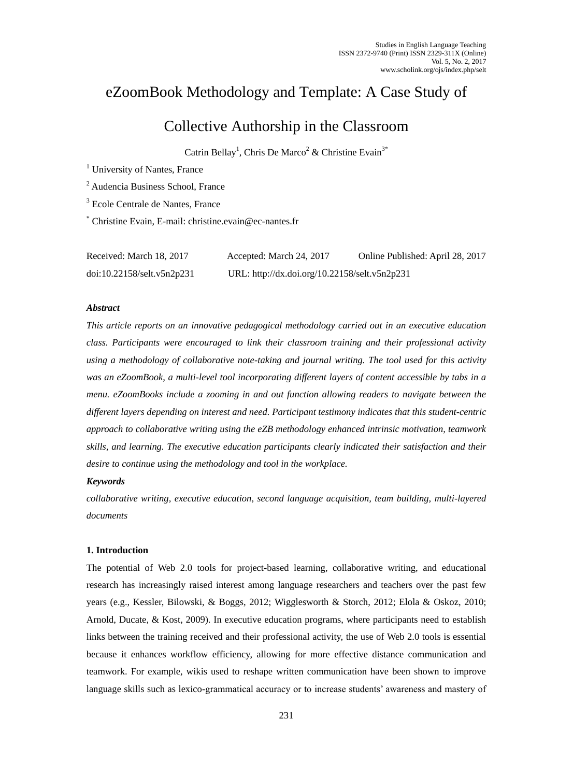# eZoomBook Methodology and Template: A Case Study of

# Collective Authorship in the Classroom

Catrin Bellay<sup>1</sup>, Chris De Marco<sup>2</sup> & Christine Evain<sup>3\*</sup>

<sup>1</sup> University of Nantes, France

<sup>2</sup> Audencia Business School, France

<sup>3</sup> Ecole Centrale de Nantes, France

\* Christine Evain, E-mail: christine.evain@ec-nantes.fr

| Received: March 18, 2017   | Accepted: March 24, 2017                      | Online Published: April 28, 2017 |
|----------------------------|-----------------------------------------------|----------------------------------|
| doi:10.22158/selt.v5n2p231 | URL: http://dx.doi.org/10.22158/selt.v5n2p231 |                                  |

## *Abstract*

*This article reports on an innovative pedagogical methodology carried out in an executive education class. Participants were encouraged to link their classroom training and their professional activity using a methodology of collaborative note-taking and journal writing. The tool used for this activity was an eZoomBook, a multi-level tool incorporating different layers of content accessible by tabs in a menu. eZoomBooks include a zooming in and out function allowing readers to navigate between the different layers depending on interest and need. Participant testimony indicates that this student-centric approach to collaborative writing using the eZB methodology enhanced intrinsic motivation, teamwork skills, and learning. The executive education participants clearly indicated their satisfaction and their desire to continue using the methodology and tool in the workplace.*

## *Keywords*

*collaborative writing, executive education, second language acquisition, team building, multi-layered documents*

## **1. Introduction**

The potential of Web 2.0 tools for project-based learning, collaborative writing, and educational research has increasingly raised interest among language researchers and teachers over the past few years (e.g., Kessler, Bilowski, & Boggs, 2012; Wigglesworth & Storch, 2012; Elola & Oskoz, 2010; Arnold, Ducate, & Kost, 2009). In executive education programs, where participants need to establish links between the training received and their professional activity, the use of Web 2.0 tools is essential because it enhances workflow efficiency, allowing for more effective distance communication and teamwork. For example, wikis used to reshape written communication have been shown to improve language skills such as lexico-grammatical accuracy or to increase students' awareness and mastery of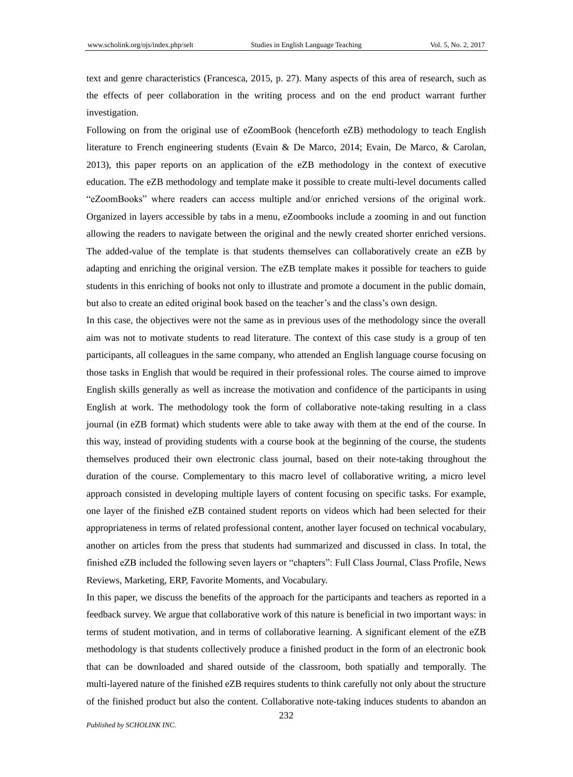text and genre characteristics (Francesca, 2015, p. 27). Many aspects of this area of research, such as the effects of peer collaboration in the writing process and on the end product warrant further investigation.

Following on from the original use of eZoomBook (henceforth eZB) methodology to teach English literature to French engineering students (Evain & De Marco, 2014; Evain, De Marco, & Carolan, 2013), this paper reports on an application of the eZB methodology in the context of executive education. The eZB methodology and template make it possible to create multi-level documents called "eZoomBooks" where readers can access multiple and/or enriched versions of the original work. Organized in layers accessible by tabs in a menu, eZoombooks include a zooming in and out function allowing the readers to navigate between the original and the newly created shorter enriched versions. The added-value of the template is that students themselves can collaboratively create an eZB by adapting and enriching the original version. The eZB template makes it possible for teachers to guide students in this enriching of books not only to illustrate and promote a document in the public domain, but also to create an edited original book based on the teacher's and the class's own design.

In this case, the objectives were not the same as in previous uses of the methodology since the overall aim was not to motivate students to read literature. The context of this case study is a group of ten participants, all colleagues in the same company, who attended an English language course focusing on those tasks in English that would be required in their professional roles. The course aimed to improve English skills generally as well as increase the motivation and confidence of the participants in using English at work. The methodology took the form of collaborative note-taking resulting in a class journal (in eZB format) which students were able to take away with them at the end of the course. In this way, instead of providing students with a course book at the beginning of the course, the students themselves produced their own electronic class journal, based on their note-taking throughout the duration of the course. Complementary to this macro level of collaborative writing, a micro level approach consisted in developing multiple layers of content focusing on specific tasks. For example, one layer of the finished eZB contained student reports on videos which had been selected for their appropriateness in terms of related professional content, another layer focused on technical vocabulary, another on articles from the press that students had summarized and discussed in class. In total, the finished eZB included the following seven layers or "chapters": Full Class Journal, Class Profile, News Reviews, Marketing, ERP, Favorite Moments, and Vocabulary.

In this paper, we discuss the benefits of the approach for the participants and teachers as reported in a feedback survey. We argue that collaborative work of this nature is beneficial in two important ways: in terms of student motivation, and in terms of collaborative learning. A significant element of the eZB methodology is that students collectively produce a finished product in the form of an electronic book that can be downloaded and shared outside of the classroom, both spatially and temporally. The multi-layered nature of the finished eZB requires students to think carefully not only about the structure of the finished product but also the content. Collaborative note-taking induces students to abandon an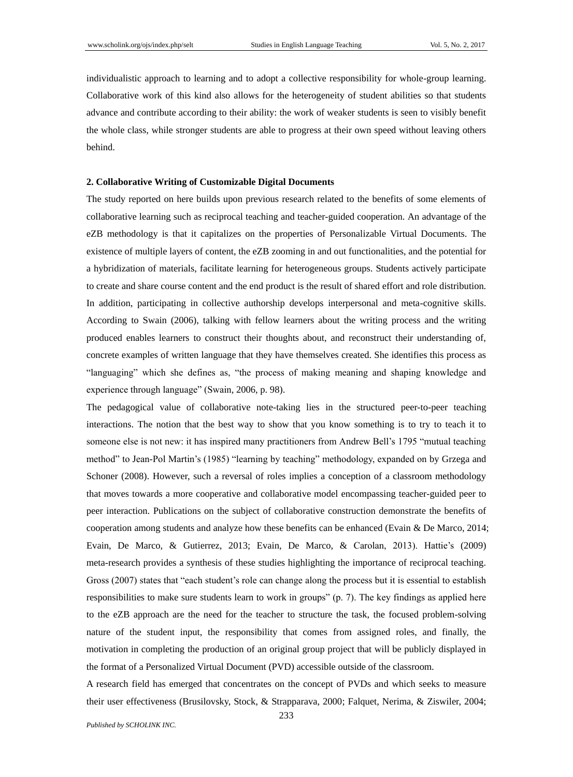individualistic approach to learning and to adopt a collective responsibility for whole-group learning. Collaborative work of this kind also allows for the heterogeneity of student abilities so that students advance and contribute according to their ability: the work of weaker students is seen to visibly benefit the whole class, while stronger students are able to progress at their own speed without leaving others behind.

# **2. Collaborative Writing of Customizable Digital Documents**

The study reported on here builds upon previous research related to the benefits of some elements of collaborative learning such as reciprocal teaching and teacher-guided cooperation. An advantage of the eZB methodology is that it capitalizes on the properties of Personalizable Virtual Documents. The existence of multiple layers of content, the eZB zooming in and out functionalities, and the potential for a hybridization of materials, facilitate learning for heterogeneous groups. Students actively participate to create and share course content and the end product is the result of shared effort and role distribution. In addition, participating in collective authorship develops interpersonal and meta-cognitive skills. According to Swain (2006), talking with fellow learners about the writing process and the writing produced enables learners to construct their thoughts about, and reconstruct their understanding of, concrete examples of written language that they have themselves created. She identifies this process as "languaging" which she defines as, "the process of making meaning and shaping knowledge and experience through language" (Swain, 2006, p. 98).

The pedagogical value of collaborative note-taking lies in the structured peer-to-peer teaching interactions. The notion that the best way to show that you know something is to try to teach it to someone else is not new: it has inspired many practitioners from Andrew Bell's 1795 "mutual teaching method" to Jean-Pol Martin's (1985) "learning by teaching" methodology, expanded on by Grzega and Schoner (2008). However, such a reversal of roles implies a conception of a classroom methodology that moves towards a more cooperative and collaborative model encompassing teacher-guided peer to peer interaction. Publications on the subject of collaborative construction demonstrate the benefits of cooperation among students and analyze how these benefits can be enhanced (Evain & De Marco, 2014; Evain, De Marco, & Gutierrez, 2013; Evain, De Marco, & Carolan, 2013). Hattie's (2009) meta-research provides a synthesis of these studies highlighting the importance of reciprocal teaching. Gross (2007) states that "each student's role can change along the process but it is essential to establish responsibilities to make sure students learn to work in groups" (p. 7). The key findings as applied here to the eZB approach are the need for the teacher to structure the task, the focused problem-solving nature of the student input, the responsibility that comes from assigned roles, and finally, the motivation in completing the production of an original group project that will be publicly displayed in the format of a Personalized Virtual Document (PVD) accessible outside of the classroom.

A research field has emerged that concentrates on the concept of PVDs and which seeks to measure their user effectiveness (Brusilovsky, Stock, & Strapparava, 2000; Falquet, Nerima, & Ziswiler, 2004;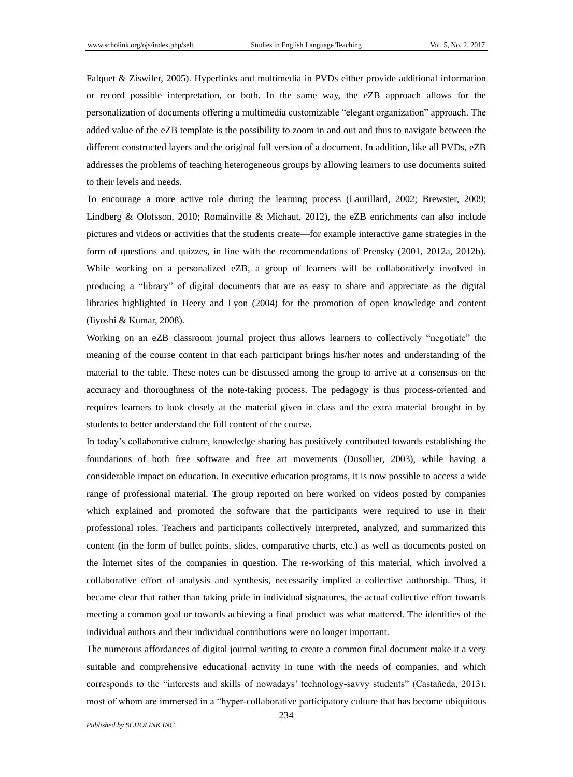Falquet & Ziswiler, 2005). Hyperlinks and multimedia in PVDs either provide additional information or record possible interpretation, or both. In the same way, the eZB approach allows for the personalization of documents offering a multimedia customizable "elegant organization" approach. The added value of the eZB template is the possibility to zoom in and out and thus to navigate between the different constructed layers and the original full version of a document. In addition, like all PVDs, eZB addresses the problems of teaching heterogeneous groups by allowing learners to use documents suited to their levels and needs.

To encourage a more active role during the learning process (Laurillard, 2002; Brewster, 2009; Lindberg & Olofsson, 2010; Romainville & Michaut, 2012), the eZB enrichments can also include pictures and videos or activities that the students create—for example interactive game strategies in the form of questions and quizzes, in line with the recommendations of Prensky (2001, 2012a, 2012b). While working on a personalized eZB, a group of learners will be collaboratively involved in producing a "library" of digital documents that are as easy to share and appreciate as the digital libraries highlighted in Heery and Lyon (2004) for the promotion of open knowledge and content (Iiyoshi & Kumar, 2008).

Working on an eZB classroom journal project thus allows learners to collectively "negotiate" the meaning of the course content in that each participant brings his/her notes and understanding of the material to the table. These notes can be discussed among the group to arrive at a consensus on the accuracy and thoroughness of the note-taking process. The pedagogy is thus process-oriented and requires learners to look closely at the material given in class and the extra material brought in by students to better understand the full content of the course.

In today's collaborative culture, knowledge sharing has positively contributed towards establishing the foundations of both free software and free art movements (Dusollier, 2003), while having a considerable impact on education. In executive education programs, it is now possible to access a wide range of professional material. The group reported on here worked on videos posted by companies which explained and promoted the software that the participants were required to use in their professional roles. Teachers and participants collectively interpreted, analyzed, and summarized this content (in the form of bullet points, slides, comparative charts, etc.) as well as documents posted on the Internet sites of the companies in question. The re-working of this material, which involved a collaborative effort of analysis and synthesis, necessarily implied a collective authorship. Thus, it became clear that rather than taking pride in individual signatures, the actual collective effort towards meeting a common goal or towards achieving a final product was what mattered. The identities of the individual authors and their individual contributions were no longer important.

The numerous affordances of digital journal writing to create a common final document make it a very suitable and comprehensive educational activity in tune with the needs of companies, and which corresponds to the "interests and skills of nowadays' technology-savvy students" (Castañeda, 2013), most of whom are immersed in a "hyper-collaborative participatory culture that has become ubiquitous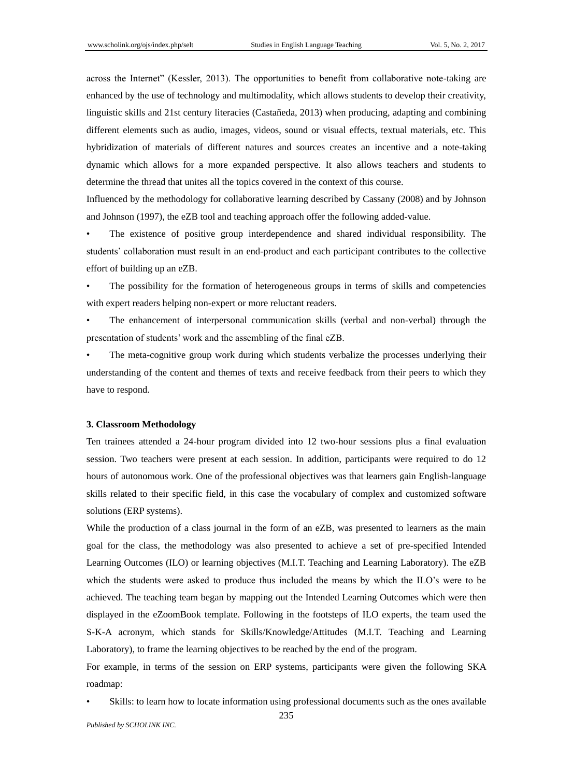across the Internet" (Kessler, 2013). The opportunities to benefit from collaborative note-taking are enhanced by the use of technology and multimodality, which allows students to develop their creativity, linguistic skills and 21st century literacies (Castañeda, 2013) when producing, adapting and combining different elements such as audio, images, videos, sound or visual effects, textual materials, etc. This hybridization of materials of different natures and sources creates an incentive and a note-taking dynamic which allows for a more expanded perspective. It also allows teachers and students to determine the thread that unites all the topics covered in the context of this course.

Influenced by the methodology for collaborative learning described by Cassany (2008) and by Johnson and Johnson (1997), the eZB tool and teaching approach offer the following added-value.

• The existence of positive group interdependence and shared individual responsibility. The students' collaboration must result in an end-product and each participant contributes to the collective effort of building up an eZB.

• The possibility for the formation of heterogeneous groups in terms of skills and competencies with expert readers helping non-expert or more reluctant readers.

The enhancement of interpersonal communication skills (verbal and non-verbal) through the presentation of students' work and the assembling of the final eZB.

The meta-cognitive group work during which students verbalize the processes underlying their understanding of the content and themes of texts and receive feedback from their peers to which they have to respond.

#### **3. Classroom Methodology**

Ten trainees attended a 24-hour program divided into 12 two-hour sessions plus a final evaluation session. Two teachers were present at each session. In addition, participants were required to do 12 hours of autonomous work. One of the professional objectives was that learners gain English-language skills related to their specific field, in this case the vocabulary of complex and customized software solutions (ERP systems).

While the production of a class journal in the form of an eZB, was presented to learners as the main goal for the class, the methodology was also presented to achieve a set of pre-specified Intended Learning Outcomes (ILO) or learning objectives (M.I.T. Teaching and Learning Laboratory). The eZB which the students were asked to produce thus included the means by which the ILO's were to be achieved. The teaching team began by mapping out the Intended Learning Outcomes which were then displayed in the eZoomBook template. Following in the footsteps of ILO experts, the team used the S-K-A acronym, which stands for Skills/Knowledge/Attitudes (M.I.T. Teaching and Learning Laboratory), to frame the learning objectives to be reached by the end of the program.

For example, in terms of the session on ERP systems, participants were given the following SKA roadmap:

Skills: to learn how to locate information using professional documents such as the ones available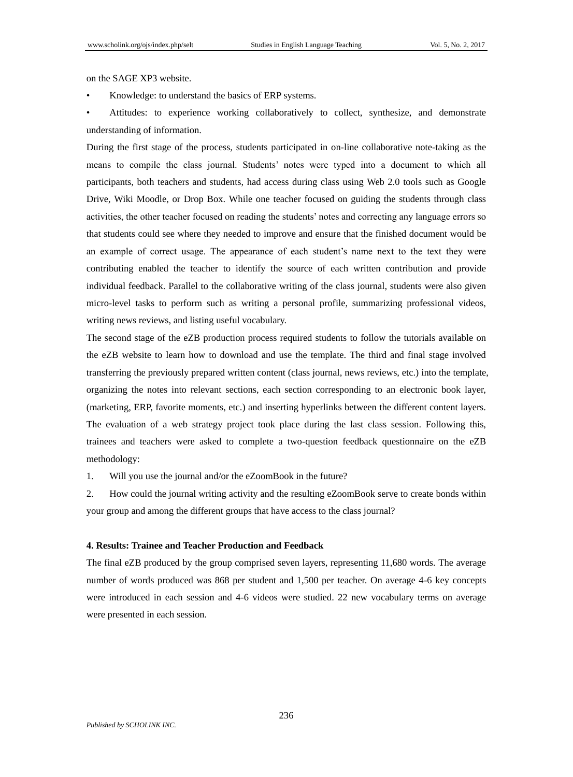on the SAGE XP3 website.

Knowledge: to understand the basics of ERP systems.

• Attitudes: to experience working collaboratively to collect, synthesize, and demonstrate understanding of information.

During the first stage of the process, students participated in on-line collaborative note-taking as the means to compile the class journal. Students' notes were typed into a document to which all participants, both teachers and students, had access during class using Web 2.0 tools such as Google Drive, Wiki Moodle, or Drop Box. While one teacher focused on guiding the students through class activities, the other teacher focused on reading the students' notes and correcting any language errors so that students could see where they needed to improve and ensure that the finished document would be an example of correct usage. The appearance of each student's name next to the text they were contributing enabled the teacher to identify the source of each written contribution and provide individual feedback. Parallel to the collaborative writing of the class journal, students were also given micro-level tasks to perform such as writing a personal profile, summarizing professional videos, writing news reviews, and listing useful vocabulary.

The second stage of the eZB production process required students to follow the tutorials available on the eZB website to learn how to download and use the template. The third and final stage involved transferring the previously prepared written content (class journal, news reviews, etc.) into the template, organizing the notes into relevant sections, each section corresponding to an electronic book layer, (marketing, ERP, favorite moments, etc.) and inserting hyperlinks between the different content layers. The evaluation of a web strategy project took place during the last class session. Following this, trainees and teachers were asked to complete a two-question feedback questionnaire on the eZB methodology:

1. Will you use the journal and/or the eZoomBook in the future?

2. How could the journal writing activity and the resulting eZoomBook serve to create bonds within your group and among the different groups that have access to the class journal?

#### **4. Results: Trainee and Teacher Production and Feedback**

The final eZB produced by the group comprised seven layers, representing 11,680 words. The average number of words produced was 868 per student and 1,500 per teacher. On average 4-6 key concepts were introduced in each session and 4-6 videos were studied. 22 new vocabulary terms on average were presented in each session.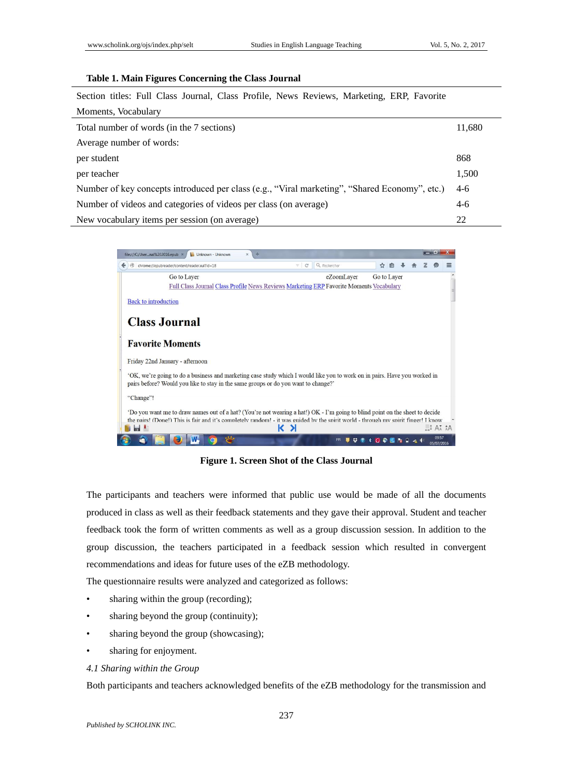## **Table 1. Main Figures Concerning the Class Journal**

Section titles: Full Class Journal, Class Profile, News Reviews, Marketing, ERP, Favorite

| Moments, Vocabulary                                                                           |       |
|-----------------------------------------------------------------------------------------------|-------|
| Total number of words (in the 7 sections)                                                     |       |
| Average number of words:                                                                      |       |
| per student                                                                                   | 868   |
| per teacher                                                                                   | 1,500 |
| Number of key concepts introduced per class (e.g., "Viral marketing", "Shared Economy", etc.) |       |
| Number of videos and categories of videos per class (on average)                              |       |
| New vocabulary items per session (on average)                                                 | 22    |



**Figure 1. Screen Shot of the Class Journal**

The participants and teachers were informed that public use would be made of all the documents produced in class as well as their feedback statements and they gave their approval. Student and teacher feedback took the form of written comments as well as a group discussion session. In addition to the group discussion, the teachers participated in a feedback session which resulted in convergent recommendations and ideas for future uses of the eZB methodology.

The questionnaire results were analyzed and categorized as follows:

- sharing within the group (recording);
- sharing beyond the group (continuity);
- sharing beyond the group (showcasing);
- sharing for enjoyment.

#### *4.1 Sharing within the Group*

Both participants and teachers acknowledged benefits of the eZB methodology for the transmission and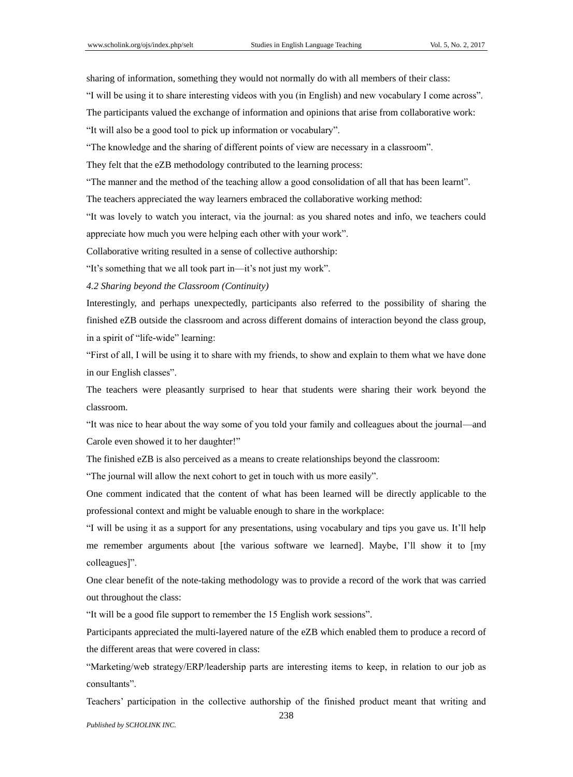sharing of information, something they would not normally do with all members of their class:

"I will be using it to share interesting videos with you (in English) and new vocabulary I come across".

The participants valued the exchange of information and opinions that arise from collaborative work:

"It will also be a good tool to pick up information or vocabulary".

"The knowledge and the sharing of different points of view are necessary in a classroom".

They felt that the eZB methodology contributed to the learning process:

"The manner and the method of the teaching allow a good consolidation of all that has been learnt".

The teachers appreciated the way learners embraced the collaborative working method:

"It was lovely to watch you interact, via the journal: as you shared notes and info, we teachers could appreciate how much you were helping each other with your work".

Collaborative writing resulted in a sense of collective authorship:

"It's something that we all took part in—it's not just my work".

*4.2 Sharing beyond the Classroom (Continuity)*

Interestingly, and perhaps unexpectedly, participants also referred to the possibility of sharing the finished eZB outside the classroom and across different domains of interaction beyond the class group, in a spirit of "life-wide" learning:

"First of all, I will be using it to share with my friends, to show and explain to them what we have done in our English classes".

The teachers were pleasantly surprised to hear that students were sharing their work beyond the classroom.

"It was nice to hear about the way some of you told your family and colleagues about the journal—and Carole even showed it to her daughter!"

The finished eZB is also perceived as a means to create relationships beyond the classroom:

"The journal will allow the next cohort to get in touch with us more easily".

One comment indicated that the content of what has been learned will be directly applicable to the professional context and might be valuable enough to share in the workplace:

"I will be using it as a support for any presentations, using vocabulary and tips you gave us. It'll help me remember arguments about [the various software we learned]. Maybe, I'll show it to [my colleagues]".

One clear benefit of the note-taking methodology was to provide a record of the work that was carried out throughout the class:

"It will be a good file support to remember the 15 English work sessions".

Participants appreciated the multi-layered nature of the eZB which enabled them to produce a record of the different areas that were covered in class:

"Marketing/web strategy/ERP/leadership parts are interesting items to keep, in relation to our job as consultants".

Teachers' participation in the collective authorship of the finished product meant that writing and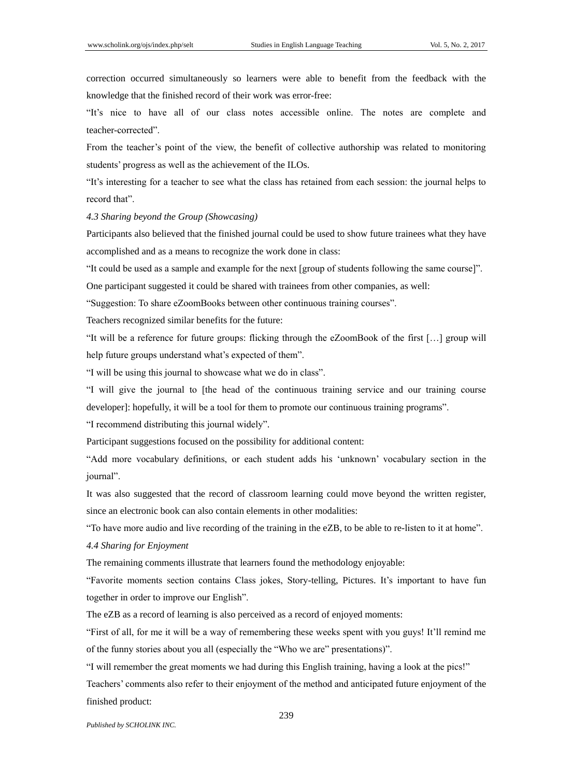correction occurred simultaneously so learners were able to benefit from the feedback with the knowledge that the finished record of their work was error-free:

"It's nice to have all of our class notes accessible online. The notes are complete and teacher-corrected".

From the teacher's point of the view, the benefit of collective authorship was related to monitoring students' progress as well as the achievement of the ILOs.

"It's interesting for a teacher to see what the class has retained from each session: the journal helps to record that".

*4.3 Sharing beyond the Group (Showcasing)*

Participants also believed that the finished journal could be used to show future trainees what they have accomplished and as a means to recognize the work done in class:

"It could be used as a sample and example for the next [group of students following the same course]".

One participant suggested it could be shared with trainees from other companies, as well:

"Suggestion: To share eZoomBooks between other continuous training courses".

Teachers recognized similar benefits for the future:

"It will be a reference for future groups: flicking through the eZoomBook of the first […] group will help future groups understand what's expected of them".

"I will be using this journal to showcase what we do in class".

"I will give the journal to [the head of the continuous training service and our training course developer]: hopefully, it will be a tool for them to promote our continuous training programs".

"I recommend distributing this journal widely".

Participant suggestions focused on the possibility for additional content:

"Add more vocabulary definitions, or each student adds his 'unknown' vocabulary section in the journal".

It was also suggested that the record of classroom learning could move beyond the written register, since an electronic book can also contain elements in other modalities:

"To have more audio and live recording of the training in the eZB, to be able to re-listen to it at home".

## *4.4 Sharing for Enjoyment*

The remaining comments illustrate that learners found the methodology enjoyable:

"Favorite moments section contains Class jokes, Story-telling, Pictures. It's important to have fun together in order to improve our English".

The eZB as a record of learning is also perceived as a record of enjoyed moments:

"First of all, for me it will be a way of remembering these weeks spent with you guys! It'll remind me of the funny stories about you all (especially the "Who we are" presentations)".

"I will remember the great moments we had during this English training, having a look at the pics!" Teachers' comments also refer to their enjoyment of the method and anticipated future enjoyment of the finished product:

*Published by SCHOLINK INC.*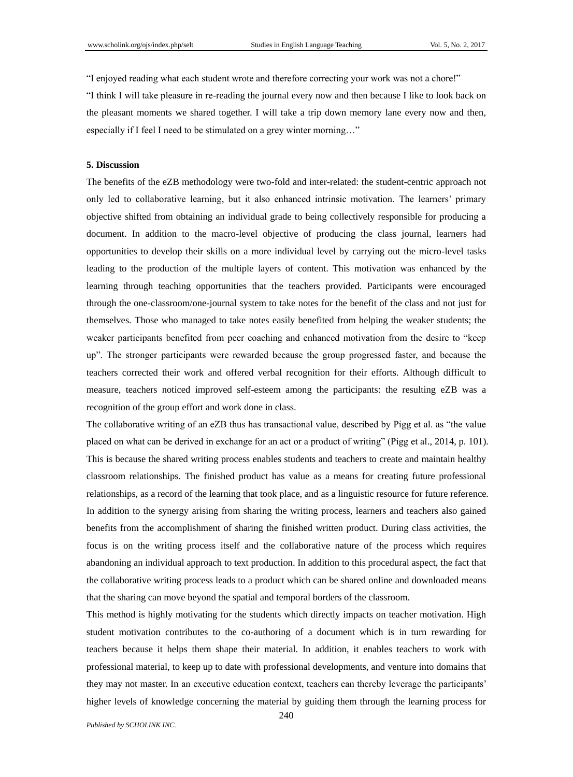"I enjoyed reading what each student wrote and therefore correcting your work was not a chore!"

"I think I will take pleasure in re-reading the journal every now and then because I like to look back on the pleasant moments we shared together. I will take a trip down memory lane every now and then, especially if I feel I need to be stimulated on a grey winter morning…"

#### **5. Discussion**

The benefits of the eZB methodology were two-fold and inter-related: the student-centric approach not only led to collaborative learning, but it also enhanced intrinsic motivation. The learners' primary objective shifted from obtaining an individual grade to being collectively responsible for producing a document. In addition to the macro-level objective of producing the class journal, learners had opportunities to develop their skills on a more individual level by carrying out the micro-level tasks leading to the production of the multiple layers of content. This motivation was enhanced by the learning through teaching opportunities that the teachers provided. Participants were encouraged through the one-classroom/one-journal system to take notes for the benefit of the class and not just for themselves. Those who managed to take notes easily benefited from helping the weaker students; the weaker participants benefited from peer coaching and enhanced motivation from the desire to "keep up". The stronger participants were rewarded because the group progressed faster, and because the teachers corrected their work and offered verbal recognition for their efforts. Although difficult to measure, teachers noticed improved self-esteem among the participants: the resulting eZB was a recognition of the group effort and work done in class.

The collaborative writing of an eZB thus has transactional value, described by Pigg et al. as "the value placed on what can be derived in exchange for an act or a product of writing" (Pigg et al., 2014, p. 101). This is because the shared writing process enables students and teachers to create and maintain healthy classroom relationships. The finished product has value as a means for creating future professional relationships, as a record of the learning that took place, and as a linguistic resource for future reference. In addition to the synergy arising from sharing the writing process, learners and teachers also gained benefits from the accomplishment of sharing the finished written product. During class activities, the focus is on the writing process itself and the collaborative nature of the process which requires abandoning an individual approach to text production. In addition to this procedural aspect, the fact that the collaborative writing process leads to a product which can be shared online and downloaded means that the sharing can move beyond the spatial and temporal borders of the classroom.

This method is highly motivating for the students which directly impacts on teacher motivation. High student motivation contributes to the co-authoring of a document which is in turn rewarding for teachers because it helps them shape their material. In addition, it enables teachers to work with professional material, to keep up to date with professional developments, and venture into domains that they may not master. In an executive education context, teachers can thereby leverage the participants' higher levels of knowledge concerning the material by guiding them through the learning process for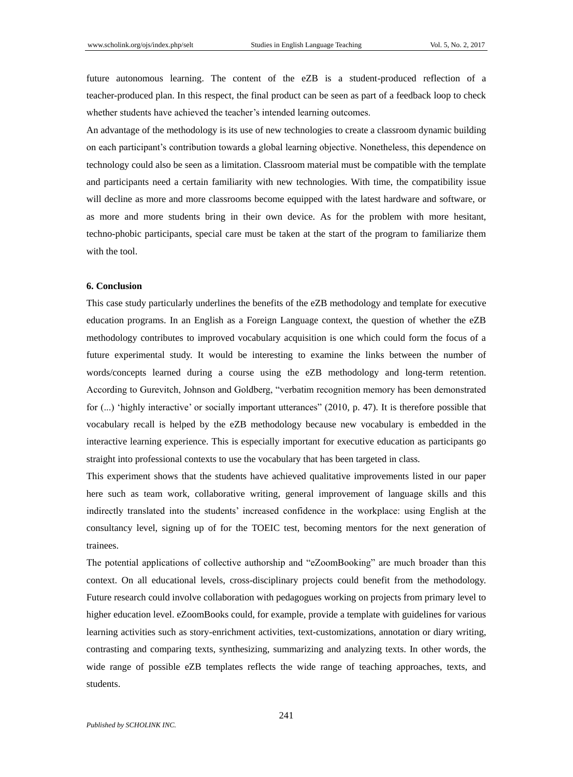future autonomous learning. The content of the eZB is a student-produced reflection of a teacher-produced plan. In this respect, the final product can be seen as part of a feedback loop to check whether students have achieved the teacher's intended learning outcomes.

An advantage of the methodology is its use of new technologies to create a classroom dynamic building on each participant's contribution towards a global learning objective. Nonetheless, this dependence on technology could also be seen as a limitation. Classroom material must be compatible with the template and participants need a certain familiarity with new technologies. With time, the compatibility issue will decline as more and more classrooms become equipped with the latest hardware and software, or as more and more students bring in their own device. As for the problem with more hesitant, techno-phobic participants, special care must be taken at the start of the program to familiarize them with the tool.

## **6. Conclusion**

This case study particularly underlines the benefits of the eZB methodology and template for executive education programs. In an English as a Foreign Language context, the question of whether the eZB methodology contributes to improved vocabulary acquisition is one which could form the focus of a future experimental study. It would be interesting to examine the links between the number of words/concepts learned during a course using the eZB methodology and long-term retention. According to Gurevitch, Johnson and Goldberg, "verbatim recognition memory has been demonstrated for (...) 'highly interactive' or socially important utterances" (2010, p. 47). It is therefore possible that vocabulary recall is helped by the eZB methodology because new vocabulary is embedded in the interactive learning experience. This is especially important for executive education as participants go straight into professional contexts to use the vocabulary that has been targeted in class.

This experiment shows that the students have achieved qualitative improvements listed in our paper here such as team work, collaborative writing, general improvement of language skills and this indirectly translated into the students' increased confidence in the workplace: using English at the consultancy level, signing up of for the TOEIC test, becoming mentors for the next generation of trainees.

The potential applications of collective authorship and "eZoomBooking" are much broader than this context. On all educational levels, cross-disciplinary projects could benefit from the methodology. Future research could involve collaboration with pedagogues working on projects from primary level to higher education level. eZoomBooks could, for example, provide a template with guidelines for various learning activities such as story-enrichment activities, text-customizations, annotation or diary writing, contrasting and comparing texts, synthesizing, summarizing and analyzing texts. In other words, the wide range of possible eZB templates reflects the wide range of teaching approaches, texts, and students.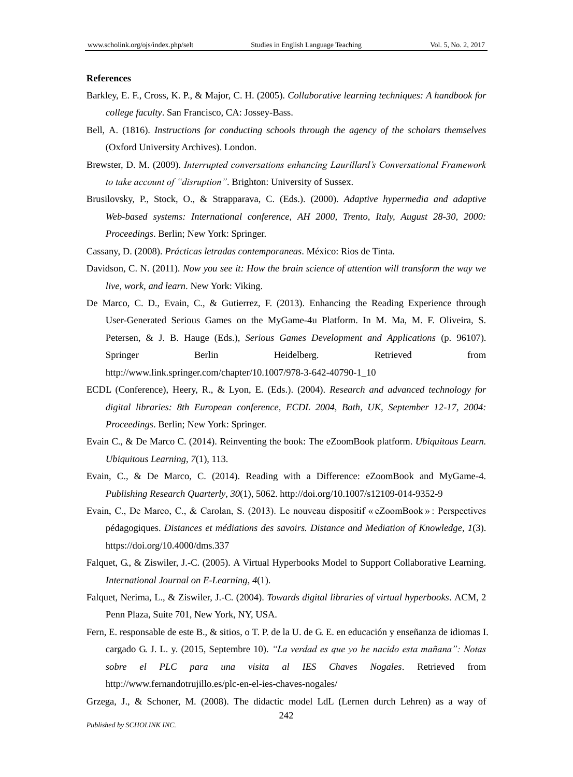## **References**

- Barkley, E. F., Cross, K. P., & Major, C. H. (2005). *Collaborative learning techniques: A handbook for college faculty*. San Francisco, CA: Jossey-Bass.
- Bell, A. (1816). *Instructions for conducting schools through the agency of the scholars themselves* (Oxford University Archives). London.
- Brewster, D. M. (2009). *Interrupted conversations enhancing Laurillard's Conversational Framework to take account of "disruption"*. Brighton: University of Sussex.
- Brusilovsky, P., Stock, O., & Strapparava, C. (Eds.). (2000). *Adaptive hypermedia and adaptive Web-based systems: International conference, AH 2000, Trento, Italy, August 28-30, 2000: Proceedings*. Berlin; New York: Springer.
- Cassany, D. (2008). *Prácticas letradas contemporaneas*. México: Rios de Tinta.
- Davidson, C. N. (2011). *Now you see it: How the brain science of attention will transform the way we live, work, and learn*. New York: Viking.
- De Marco, C. D., Evain, C., & Gutierrez, F. (2013). Enhancing the Reading Experience through User-Generated Serious Games on the MyGame-4u Platform. In M. Ma, M. F. Oliveira, S. Petersen, & J. B. Hauge (Eds.), *Serious Games Development and Applications* (p. 96107). Springer Berlin Heidelberg. Retrieved from http://www.link.springer.com/chapter/10.1007/978-3-642-40790-1\_10
- ECDL (Conference), Heery, R., & Lyon, E. (Eds.). (2004). *Research and advanced technology for digital libraries: 8th European conference, ECDL 2004, Bath, UK, September 12-17, 2004: Proceedings*. Berlin; New York: Springer.
- Evain C., & De Marco C. (2014). Reinventing the book: The eZoomBook platform. *Ubiquitous Learn. Ubiquitous Learning*, *7*(1), 113.
- Evain, C., & De Marco, C. (2014). Reading with a Difference: eZoomBook and MyGame-4. *Publishing Research Quarterly*, *30*(1), 5062.<http://doi.org/10.1007/s12109-014-9352-9>
- Evain, C., De Marco, C., & Carolan, S. (2013). Le nouveau dispositif « eZoomBook » : Perspectives pédagogiques. *Distances et médiations des savoirs. Distance and Mediation of Knowledge*, *1*(3). https://doi.org/10.4000/dms.337
- Falquet, G., & Ziswiler, J.-C. (2005). A Virtual Hyperbooks Model to Support Collaborative Learning. *International Journal on E-Learning*, *4*(1).
- Falquet, Nerima, L., & Ziswiler, J.-C. (2004). *Towards digital libraries of virtual hyperbooks*. ACM, 2 Penn Plaza, Suite 701, New York, NY, USA.
- Fern, E. responsable de este B., & sitios, o T. P. de la U. de G. E. en educación y enseñanza de idiomas I. cargado G. J. L. y. (2015, Septembre 10). *"La verdad es que yo he nacido esta mañana": Notas sobre el PLC para una visita al IES Chaves Nogales*. Retrieved from http://www.fernandotrujillo.es/plc-en-el-ies-chaves-nogales/
- 242 Grzega, J., & Schoner, M. (2008). The didactic model LdL (Lernen durch Lehren) as a way of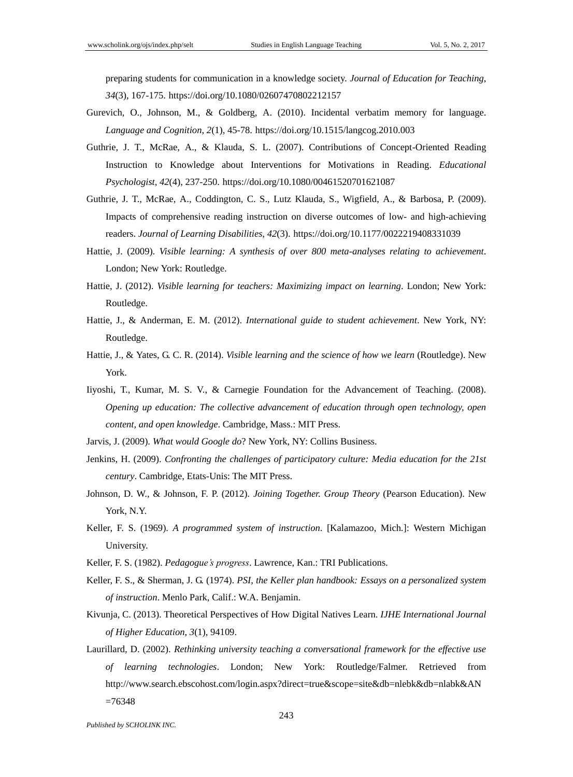preparing students for communication in a knowledge society. *Journal of Education for Teaching*, *34*(3), 167-175. https://doi.org/10.1080/02607470802212157

- Gurevich, O., Johnson, M., & Goldberg, A. (2010). Incidental verbatim memory for language. *Language and Cognition*, *2*(1), 45-78. https://doi.org/10.1515/langcog.2010.003
- Guthrie, J. T., McRae, A., & Klauda, S. L. (2007). Contributions of Concept-Oriented Reading Instruction to Knowledge about Interventions for Motivations in Reading. *Educational Psychologist*, *42*(4), 237-250. https://doi.org/10.1080/00461520701621087
- Guthrie, J. T., McRae, A., Coddington, C. S., Lutz Klauda, S., Wigfield, A., & Barbosa, P. (2009). Impacts of comprehensive reading instruction on diverse outcomes of low- and high-achieving readers. *Journal of Learning Disabilities*, *42*(3). https://doi.org/10.1177/0022219408331039
- Hattie, J. (2009). *Visible learning: A synthesis of over 800 meta-analyses relating to achievement*. London; New York: Routledge.
- Hattie, J. (2012). *Visible learning for teachers: Maximizing impact on learning*. London; New York: Routledge.
- Hattie, J., & Anderman, E. M. (2012). *International guide to student achievement*. New York, NY: Routledge.
- Hattie, J., & Yates, G. C. R. (2014). *Visible learning and the science of how we learn* (Routledge). New York.
- Iiyoshi, T., Kumar, M. S. V., & Carnegie Foundation for the Advancement of Teaching. (2008). *Opening up education: The collective advancement of education through open technology, open content, and open knowledge*. Cambridge, Mass.: MIT Press.
- Jarvis, J. (2009). *What would Google do*? New York, NY: Collins Business.
- Jenkins, H. (2009). *Confronting the challenges of participatory culture: Media education for the 21st century*. Cambridge, Etats-Unis: The MIT Press.
- Johnson, D. W., & Johnson, F. P. (2012). *Joining Together. Group Theory* (Pearson Education). New York, N.Y.
- Keller, F. S. (1969). *A programmed system of instruction*. [Kalamazoo, Mich.]: Western Michigan University.
- Keller, F. S. (1982). *Pedagogue's progress*. Lawrence, Kan.: TRI Publications.
- Keller, F. S., & Sherman, J. G. (1974). *PSI, the Keller plan handbook: Essays on a personalized system of instruction*. Menlo Park, Calif.: W.A. Benjamin.
- Kivunja, C. (2013). Theoretical Perspectives of How Digital Natives Learn. *IJHE International Journal of Higher Education*, *3*(1), 94109.
- Laurillard, D. (2002). *Rethinking university teaching a conversational framework for the effective use of learning technologies*. London; New York: Routledge/Falmer. Retrieved from http://www.search.ebscohost.com/login.aspx?direct=true&scope=site&db=nlebk&db=nlabk&AN  $=76348$  $=76348$

*Published by SCHOLINK INC.*